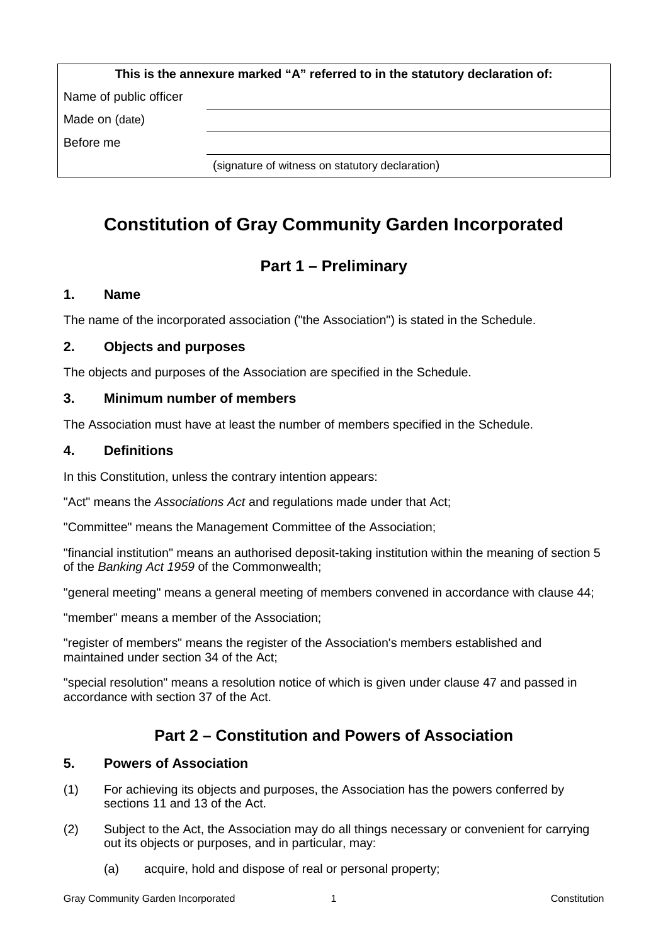| This is the annexure marked "A" referred to in the statutory declaration of: |  |  |  |
|------------------------------------------------------------------------------|--|--|--|
| Name of public officer                                                       |  |  |  |
| Made on (date)                                                               |  |  |  |
| Before me                                                                    |  |  |  |
| (signature of witness on statutory declaration)                              |  |  |  |

# **Constitution of Gray Community Garden Incorporated**

# **Part 1 – Preliminary**

## **1. Name**

The name of the incorporated association ("the Association") is stated in the Schedule.

## **2. Objects and purposes**

The objects and purposes of the Association are specified in the Schedule.

## **3. Minimum number of members**

The Association must have at least the number of members specified in the Schedule.

#### **4. Definitions**

In this Constitution, unless the contrary intention appears:

"Act" means the *Associations Act* and regulations made under that Act;

"Committee" means the Management Committee of the Association;

"financial institution" means an authorised deposit-taking institution within the meaning of section 5 of the *Banking Act 1959* of the Commonwealth;

"general meeting" means a general meeting of members convened in accordance with clause 44;

"member" means a member of the Association;

"register of members" means the register of the Association's members established and maintained under section 34 of the Act;

"special resolution" means a resolution notice of which is given under clause 47 and passed in accordance with section 37 of the Act.

## **Part 2 – Constitution and Powers of Association**

#### **5. Powers of Association**

- (1) For achieving its objects and purposes, the Association has the powers conferred by sections 11 and 13 of the Act.
- (2) Subject to the Act, the Association may do all things necessary or convenient for carrying out its objects or purposes, and in particular, may:
	- (a) acquire, hold and dispose of real or personal property;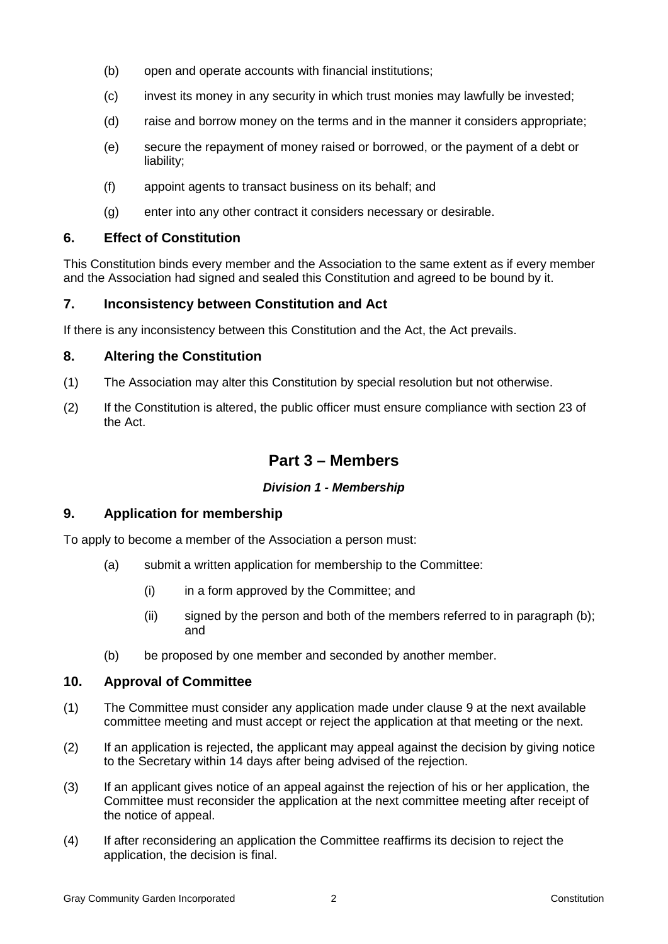- (b) open and operate accounts with financial institutions;
- (c) invest its money in any security in which trust monies may lawfully be invested;
- (d) raise and borrow money on the terms and in the manner it considers appropriate;
- (e) secure the repayment of money raised or borrowed, or the payment of a debt or liability;
- (f) appoint agents to transact business on its behalf; and
- (g) enter into any other contract it considers necessary or desirable.

## **6. Effect of Constitution**

This Constitution binds every member and the Association to the same extent as if every member and the Association had signed and sealed this Constitution and agreed to be bound by it.

## **7. Inconsistency between Constitution and Act**

If there is any inconsistency between this Constitution and the Act, the Act prevails.

## **8. Altering the Constitution**

- (1) The Association may alter this Constitution by special resolution but not otherwise.
- (2) If the Constitution is altered, the public officer must ensure compliance with section 23 of the Act.

## **Part 3 – Members**

#### *Division 1 - Membership*

#### **9. Application for membership**

To apply to become a member of the Association a person must:

- (a) submit a written application for membership to the Committee:
	- (i) in a form approved by the Committee; and
	- (ii) signed by the person and both of the members referred to in paragraph (b); and
- (b) be proposed by one member and seconded by another member.

## **10. Approval of Committee**

- (1) The Committee must consider any application made under clause 9 at the next available committee meeting and must accept or reject the application at that meeting or the next.
- (2) If an application is rejected, the applicant may appeal against the decision by giving notice to the Secretary within 14 days after being advised of the rejection.
- (3) If an applicant gives notice of an appeal against the rejection of his or her application, the Committee must reconsider the application at the next committee meeting after receipt of the notice of appeal.
- (4) If after reconsidering an application the Committee reaffirms its decision to reject the application, the decision is final.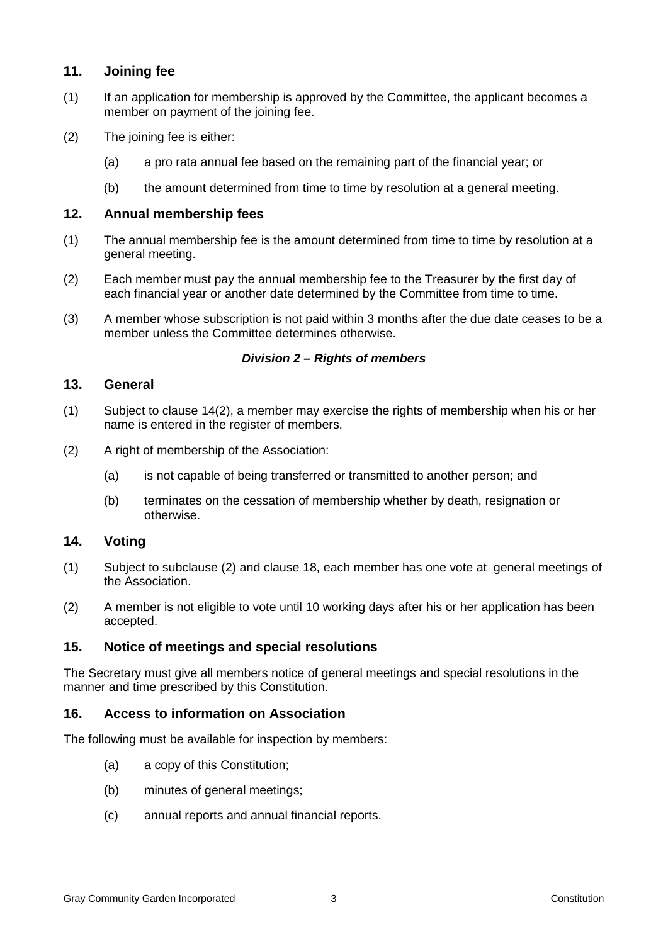## **11. Joining fee**

- (1) If an application for membership is approved by the Committee, the applicant becomes a member on payment of the joining fee.
- (2) The joining fee is either:
	- (a) a pro rata annual fee based on the remaining part of the financial year; or
	- (b) the amount determined from time to time by resolution at a general meeting.

#### **12. Annual membership fees**

- (1) The annual membership fee is the amount determined from time to time by resolution at a general meeting.
- (2) Each member must pay the annual membership fee to the Treasurer by the first day of each financial year or another date determined by the Committee from time to time.
- (3) A member whose subscription is not paid within 3 months after the due date ceases to be a member unless the Committee determines otherwise.

#### *Division 2 – Rights of members*

#### **13. General**

- (1) Subject to clause 14(2), a member may exercise the rights of membership when his or her name is entered in the register of members.
- (2) A right of membership of the Association:
	- (a) is not capable of being transferred or transmitted to another person; and
	- (b) terminates on the cessation of membership whether by death, resignation or otherwise.

#### **14. Voting**

- (1) Subject to subclause (2) and clause 18, each member has one vote at general meetings of the Association.
- (2) A member is not eligible to vote until 10 working days after his or her application has been accepted.

#### **15. Notice of meetings and special resolutions**

The Secretary must give all members notice of general meetings and special resolutions in the manner and time prescribed by this Constitution.

#### **16. Access to information on Association**

The following must be available for inspection by members:

- (a) a copy of this Constitution;
- (b) minutes of general meetings;
- (c) annual reports and annual financial reports.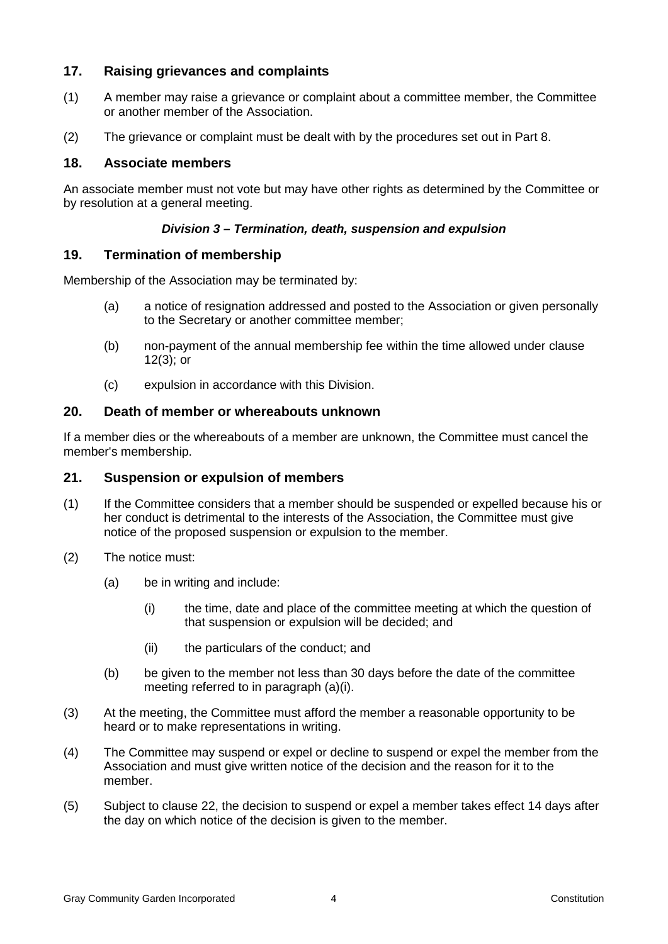## **17. Raising grievances and complaints**

- (1) A member may raise a grievance or complaint about a committee member, the Committee or another member of the Association.
- (2) The grievance or complaint must be dealt with by the procedures set out in Part 8.

#### **18. Associate members**

An associate member must not vote but may have other rights as determined by the Committee or by resolution at a general meeting.

#### *Division 3 – Termination, death, suspension and expulsion*

#### **19. Termination of membership**

Membership of the Association may be terminated by:

- (a) a notice of resignation addressed and posted to the Association or given personally to the Secretary or another committee member;
- (b) non-payment of the annual membership fee within the time allowed under clause 12(3); or
- (c) expulsion in accordance with this Division.

### **20. Death of member or whereabouts unknown**

If a member dies or the whereabouts of a member are unknown, the Committee must cancel the member's membership.

#### **21. Suspension or expulsion of members**

- (1) If the Committee considers that a member should be suspended or expelled because his or her conduct is detrimental to the interests of the Association, the Committee must give notice of the proposed suspension or expulsion to the member.
- (2) The notice must:
	- (a) be in writing and include:
		- (i) the time, date and place of the committee meeting at which the question of that suspension or expulsion will be decided; and
		- (ii) the particulars of the conduct; and
	- (b) be given to the member not less than 30 days before the date of the committee meeting referred to in paragraph (a)(i).
- (3) At the meeting, the Committee must afford the member a reasonable opportunity to be heard or to make representations in writing.
- (4) The Committee may suspend or expel or decline to suspend or expel the member from the Association and must give written notice of the decision and the reason for it to the member.
- (5) Subject to clause 22, the decision to suspend or expel a member takes effect 14 days after the day on which notice of the decision is given to the member.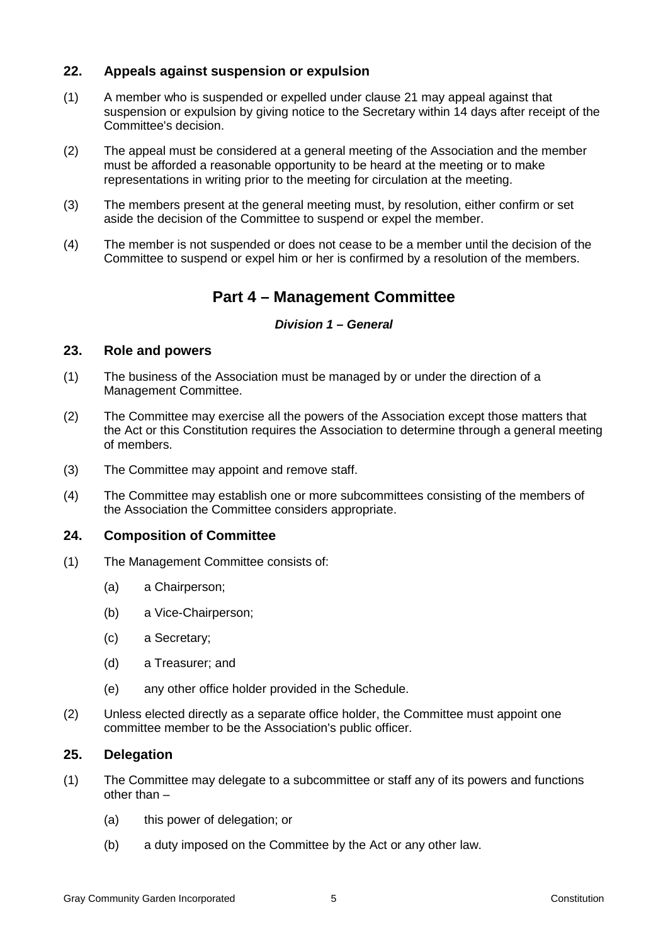## **22. Appeals against suspension or expulsion**

- (1) A member who is suspended or expelled under clause 21 may appeal against that suspension or expulsion by giving notice to the Secretary within 14 days after receipt of the Committee's decision.
- (2) The appeal must be considered at a general meeting of the Association and the member must be afforded a reasonable opportunity to be heard at the meeting or to make representations in writing prior to the meeting for circulation at the meeting.
- (3) The members present at the general meeting must, by resolution, either confirm or set aside the decision of the Committee to suspend or expel the member.
- (4) The member is not suspended or does not cease to be a member until the decision of the Committee to suspend or expel him or her is confirmed by a resolution of the members.

## **Part 4 – Management Committee**

#### *Division 1 – General*

#### **23. Role and powers**

- (1) The business of the Association must be managed by or under the direction of a Management Committee.
- (2) The Committee may exercise all the powers of the Association except those matters that the Act or this Constitution requires the Association to determine through a general meeting of members.
- (3) The Committee may appoint and remove staff.
- (4) The Committee may establish one or more subcommittees consisting of the members of the Association the Committee considers appropriate.

#### **24. Composition of Committee**

- (1) The Management Committee consists of:
	- (a) a Chairperson;
	- (b) a Vice-Chairperson;
	- (c) a Secretary;
	- (d) a Treasurer; and
	- (e) any other office holder provided in the Schedule.
- (2) Unless elected directly as a separate office holder, the Committee must appoint one committee member to be the Association's public officer.

#### **25. Delegation**

- (1) The Committee may delegate to a subcommittee or staff any of its powers and functions other than –
	- (a) this power of delegation; or
	- (b) a duty imposed on the Committee by the Act or any other law.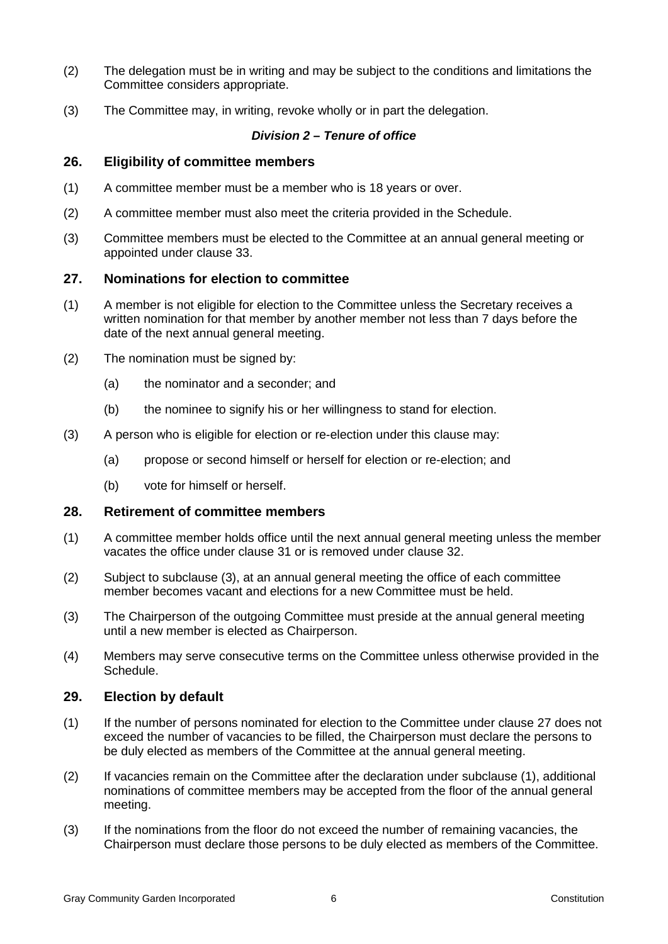- (2) The delegation must be in writing and may be subject to the conditions and limitations the Committee considers appropriate.
- (3) The Committee may, in writing, revoke wholly or in part the delegation.

#### *Division 2 – Tenure of office*

#### **26. Eligibility of committee members**

- (1) A committee member must be a member who is 18 years or over.
- (2) A committee member must also meet the criteria provided in the Schedule.
- (3) Committee members must be elected to the Committee at an annual general meeting or appointed under clause 33.

#### **27. Nominations for election to committee**

- (1) A member is not eligible for election to the Committee unless the Secretary receives a written nomination for that member by another member not less than 7 days before the date of the next annual general meeting.
- (2) The nomination must be signed by:
	- (a) the nominator and a seconder; and
	- (b) the nominee to signify his or her willingness to stand for election.
- (3) A person who is eligible for election or re-election under this clause may:
	- (a) propose or second himself or herself for election or re-election; and
	- (b) vote for himself or herself.

#### **28. Retirement of committee members**

- (1) A committee member holds office until the next annual general meeting unless the member vacates the office under clause 31 or is removed under clause 32.
- (2) Subject to subclause (3), at an annual general meeting the office of each committee member becomes vacant and elections for a new Committee must be held.
- (3) The Chairperson of the outgoing Committee must preside at the annual general meeting until a new member is elected as Chairperson.
- (4) Members may serve consecutive terms on the Committee unless otherwise provided in the Schedule.

#### **29. Election by default**

- (1) If the number of persons nominated for election to the Committee under clause 27 does not exceed the number of vacancies to be filled, the Chairperson must declare the persons to be duly elected as members of the Committee at the annual general meeting.
- (2) If vacancies remain on the Committee after the declaration under subclause (1), additional nominations of committee members may be accepted from the floor of the annual general meeting.
- (3) If the nominations from the floor do not exceed the number of remaining vacancies, the Chairperson must declare those persons to be duly elected as members of the Committee.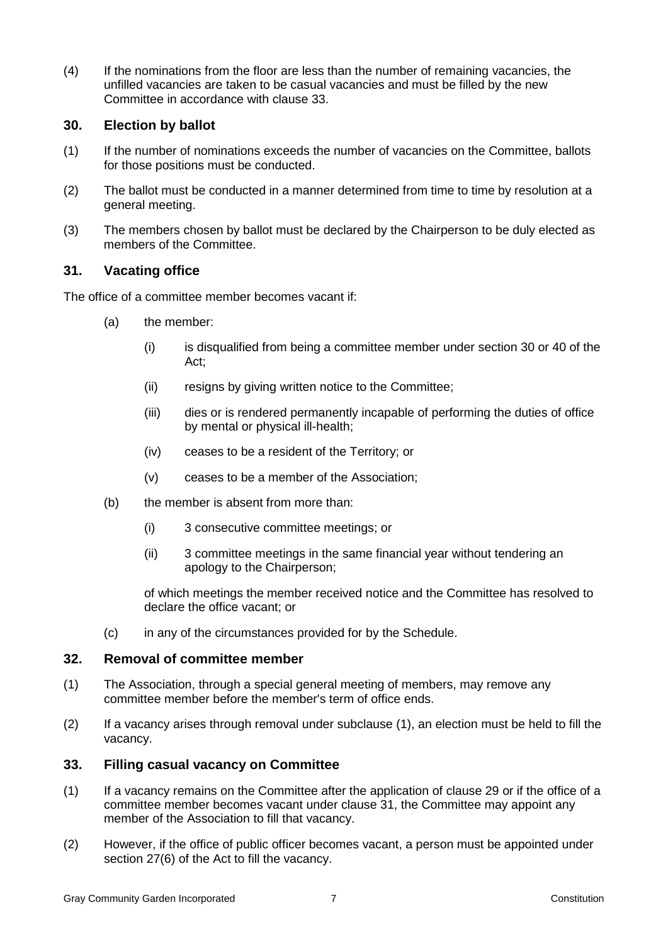(4) If the nominations from the floor are less than the number of remaining vacancies, the unfilled vacancies are taken to be casual vacancies and must be filled by the new Committee in accordance with clause 33.

## **30. Election by ballot**

- (1) If the number of nominations exceeds the number of vacancies on the Committee, ballots for those positions must be conducted.
- (2) The ballot must be conducted in a manner determined from time to time by resolution at a general meeting.
- (3) The members chosen by ballot must be declared by the Chairperson to be duly elected as members of the Committee.

## **31. Vacating office**

The office of a committee member becomes vacant if:

- (a) the member:
	- (i) is disqualified from being a committee member under section 30 or 40 of the Act;
	- (ii) resigns by giving written notice to the Committee;
	- (iii) dies or is rendered permanently incapable of performing the duties of office by mental or physical ill-health;
	- (iv) ceases to be a resident of the Territory; or
	- (v) ceases to be a member of the Association;
- (b) the member is absent from more than:
	- (i) 3 consecutive committee meetings; or
	- (ii) 3 committee meetings in the same financial year without tendering an apology to the Chairperson;

of which meetings the member received notice and the Committee has resolved to declare the office vacant; or

(c) in any of the circumstances provided for by the Schedule.

#### **32. Removal of committee member**

- (1) The Association, through a special general meeting of members, may remove any committee member before the member's term of office ends.
- (2) If a vacancy arises through removal under subclause (1), an election must be held to fill the vacancy.

#### **33. Filling casual vacancy on Committee**

- (1) If a vacancy remains on the Committee after the application of clause 29 or if the office of a committee member becomes vacant under clause 31, the Committee may appoint any member of the Association to fill that vacancy.
- (2) However, if the office of public officer becomes vacant, a person must be appointed under section 27(6) of the Act to fill the vacancy.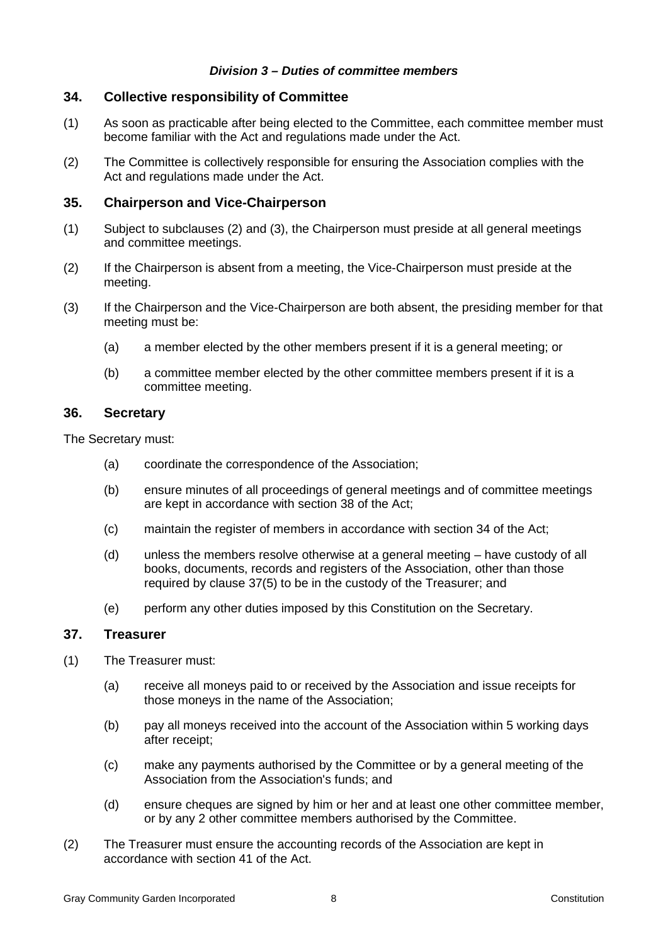#### *Division 3 – Duties of committee members*

## **34. Collective responsibility of Committee**

- (1) As soon as practicable after being elected to the Committee, each committee member must become familiar with the Act and regulations made under the Act.
- (2) The Committee is collectively responsible for ensuring the Association complies with the Act and regulations made under the Act.

## **35. Chairperson and Vice-Chairperson**

- (1) Subject to subclauses (2) and (3), the Chairperson must preside at all general meetings and committee meetings.
- (2) If the Chairperson is absent from a meeting, the Vice-Chairperson must preside at the meeting.
- (3) If the Chairperson and the Vice-Chairperson are both absent, the presiding member for that meeting must be:
	- (a) a member elected by the other members present if it is a general meeting; or
	- (b) a committee member elected by the other committee members present if it is a committee meeting.

#### **36. Secretary**

The Secretary must:

- (a) coordinate the correspondence of the Association;
- (b) ensure minutes of all proceedings of general meetings and of committee meetings are kept in accordance with section 38 of the Act;
- (c) maintain the register of members in accordance with section 34 of the Act;
- (d) unless the members resolve otherwise at a general meeting have custody of all books, documents, records and registers of the Association, other than those required by clause 37(5) to be in the custody of the Treasurer; and
- (e) perform any other duties imposed by this Constitution on the Secretary.

#### **37. Treasurer**

- (1) The Treasurer must:
	- (a) receive all moneys paid to or received by the Association and issue receipts for those moneys in the name of the Association;
	- (b) pay all moneys received into the account of the Association within 5 working days after receipt;
	- (c) make any payments authorised by the Committee or by a general meeting of the Association from the Association's funds; and
	- (d) ensure cheques are signed by him or her and at least one other committee member, or by any 2 other committee members authorised by the Committee.
- (2) The Treasurer must ensure the accounting records of the Association are kept in accordance with section 41 of the Act.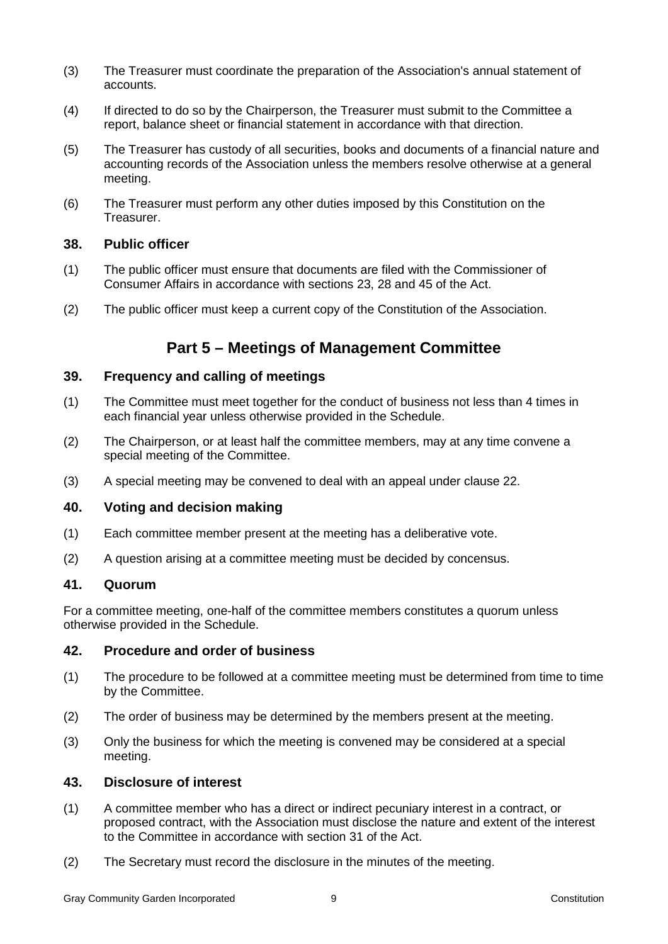- (3) The Treasurer must coordinate the preparation of the Association's annual statement of accounts.
- (4) If directed to do so by the Chairperson, the Treasurer must submit to the Committee a report, balance sheet or financial statement in accordance with that direction.
- (5) The Treasurer has custody of all securities, books and documents of a financial nature and accounting records of the Association unless the members resolve otherwise at a general meeting.
- (6) The Treasurer must perform any other duties imposed by this Constitution on the Treasurer.

### **38. Public officer**

- (1) The public officer must ensure that documents are filed with the Commissioner of Consumer Affairs in accordance with sections 23, 28 and 45 of the Act.
- (2) The public officer must keep a current copy of the Constitution of the Association.

## **Part 5 – Meetings of Management Committee**

#### **39. Frequency and calling of meetings**

- (1) The Committee must meet together for the conduct of business not less than 4 times in each financial year unless otherwise provided in the Schedule.
- (2) The Chairperson, or at least half the committee members, may at any time convene a special meeting of the Committee.
- (3) A special meeting may be convened to deal with an appeal under clause 22.

#### **40. Voting and decision making**

- (1) Each committee member present at the meeting has a deliberative vote.
- (2) A question arising at a committee meeting must be decided by concensus.

## **41. Quorum**

For a committee meeting, one-half of the committee members constitutes a quorum unless otherwise provided in the Schedule.

#### **42. Procedure and order of business**

- (1) The procedure to be followed at a committee meeting must be determined from time to time by the Committee.
- (2) The order of business may be determined by the members present at the meeting.
- (3) Only the business for which the meeting is convened may be considered at a special meeting.

## **43. Disclosure of interest**

- (1) A committee member who has a direct or indirect pecuniary interest in a contract, or proposed contract, with the Association must disclose the nature and extent of the interest to the Committee in accordance with section 31 of the Act.
- (2) The Secretary must record the disclosure in the minutes of the meeting.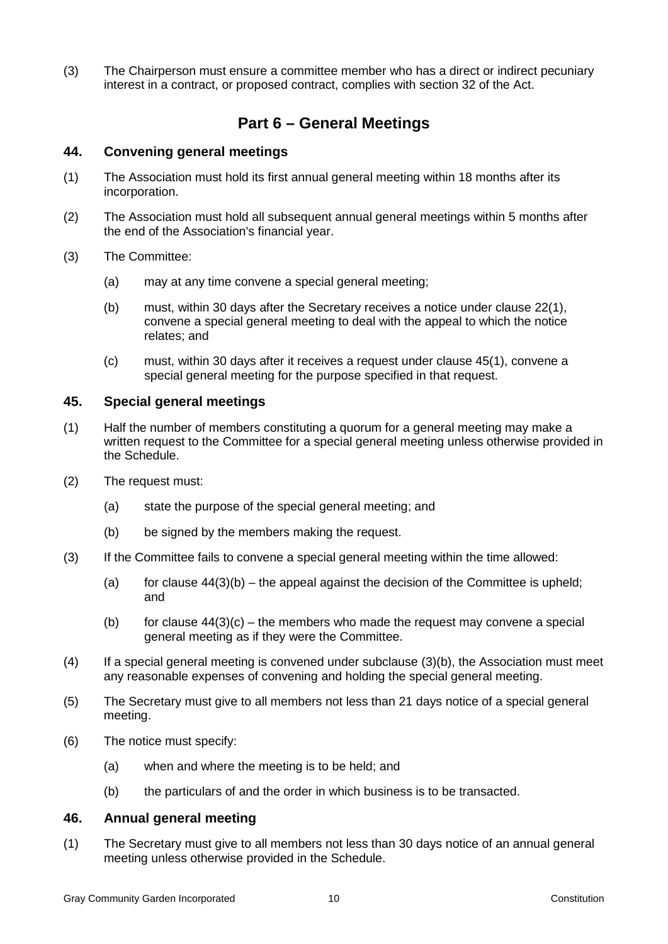(3) The Chairperson must ensure a committee member who has a direct or indirect pecuniary interest in a contract, or proposed contract, complies with section 32 of the Act.

## **Part 6 – General Meetings**

### **44. Convening general meetings**

- (1) The Association must hold its first annual general meeting within 18 months after its incorporation.
- (2) The Association must hold all subsequent annual general meetings within 5 months after the end of the Association's financial year.
- (3) The Committee:
	- (a) may at any time convene a special general meeting;
	- (b) must, within 30 days after the Secretary receives a notice under clause 22(1), convene a special general meeting to deal with the appeal to which the notice relates; and
	- (c) must, within 30 days after it receives a request under clause 45(1), convene a special general meeting for the purpose specified in that request.

#### **45. Special general meetings**

- (1) Half the number of members constituting a quorum for a general meeting may make a written request to the Committee for a special general meeting unless otherwise provided in the Schedule.
- (2) The request must:
	- (a) state the purpose of the special general meeting; and
	- (b) be signed by the members making the request.
- (3) If the Committee fails to convene a special general meeting within the time allowed:
	- (a) for clause  $44(3)(b)$  the appeal against the decision of the Committee is upheld; and
	- (b) for clause  $44(3)(c)$  the members who made the request may convene a special general meeting as if they were the Committee.
- (4) If a special general meeting is convened under subclause (3)(b), the Association must meet any reasonable expenses of convening and holding the special general meeting.
- (5) The Secretary must give to all members not less than 21 days notice of a special general meeting.
- (6) The notice must specify:
	- (a) when and where the meeting is to be held; and
	- (b) the particulars of and the order in which business is to be transacted.

## **46. Annual general meeting**

(1) The Secretary must give to all members not less than 30 days notice of an annual general meeting unless otherwise provided in the Schedule.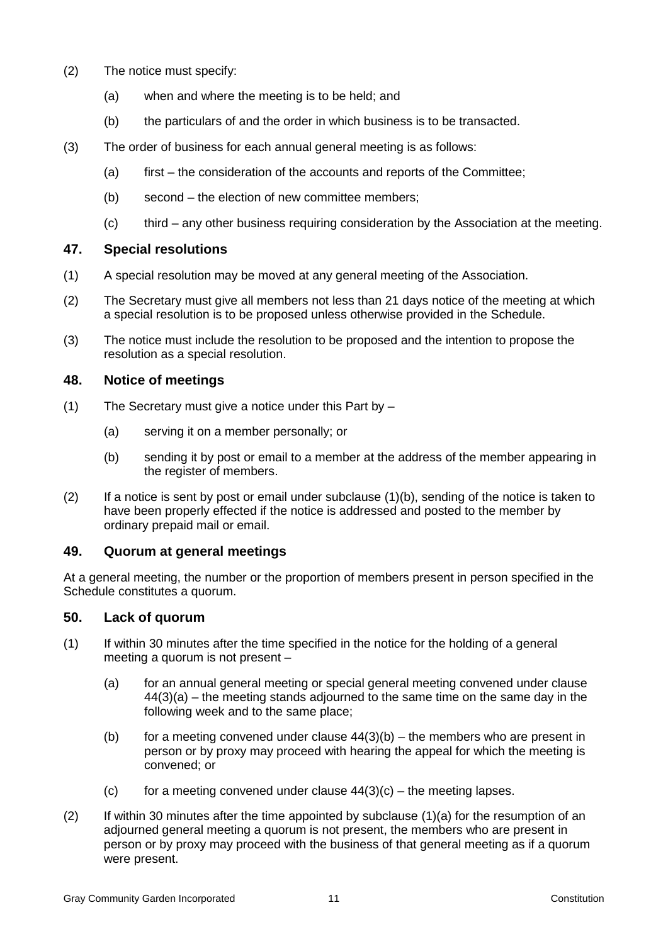- (2) The notice must specify:
	- (a) when and where the meeting is to be held; and
	- (b) the particulars of and the order in which business is to be transacted.
- (3) The order of business for each annual general meeting is as follows:
	- (a) first the consideration of the accounts and reports of the Committee;
	- (b) second the election of new committee members;
	- (c) third any other business requiring consideration by the Association at the meeting.

## **47. Special resolutions**

- (1) A special resolution may be moved at any general meeting of the Association.
- (2) The Secretary must give all members not less than 21 days notice of the meeting at which a special resolution is to be proposed unless otherwise provided in the Schedule.
- (3) The notice must include the resolution to be proposed and the intention to propose the resolution as a special resolution.

## **48. Notice of meetings**

- (1) The Secretary must give a notice under this Part by
	- (a) serving it on a member personally; or
	- (b) sending it by post or email to a member at the address of the member appearing in the register of members.
- $(2)$  If a notice is sent by post or email under subclause  $(1)(b)$ , sending of the notice is taken to have been properly effected if the notice is addressed and posted to the member by ordinary prepaid mail or email.

#### **49. Quorum at general meetings**

At a general meeting, the number or the proportion of members present in person specified in the Schedule constitutes a quorum.

## **50. Lack of quorum**

- (1) If within 30 minutes after the time specified in the notice for the holding of a general meeting a quorum is not present –
	- (a) for an annual general meeting or special general meeting convened under clause 44(3)(a) – the meeting stands adjourned to the same time on the same day in the following week and to the same place;
	- (b) for a meeting convened under clause  $44(3)(b)$  the members who are present in person or by proxy may proceed with hearing the appeal for which the meeting is convened; or
	- (c) for a meeting convened under clause  $44(3)(c)$  the meeting lapses.
- $(2)$  If within 30 minutes after the time appointed by subclause  $(1)(a)$  for the resumption of an adjourned general meeting a quorum is not present, the members who are present in person or by proxy may proceed with the business of that general meeting as if a quorum were present.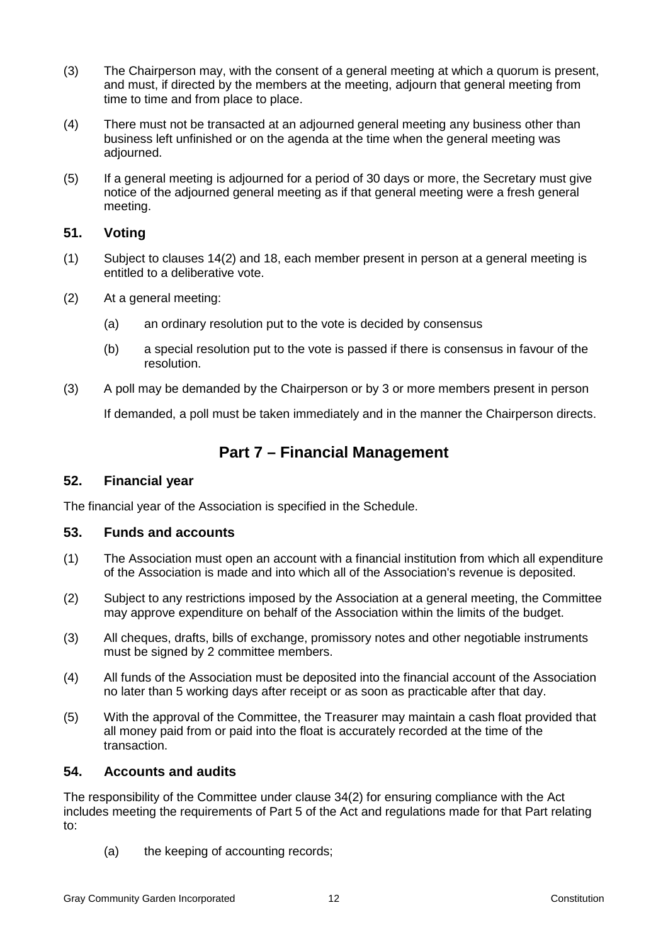- (3) The Chairperson may, with the consent of a general meeting at which a quorum is present, and must, if directed by the members at the meeting, adjourn that general meeting from time to time and from place to place.
- (4) There must not be transacted at an adjourned general meeting any business other than business left unfinished or on the agenda at the time when the general meeting was adjourned.
- (5) If a general meeting is adjourned for a period of 30 days or more, the Secretary must give notice of the adjourned general meeting as if that general meeting were a fresh general meeting.

## **51. Voting**

- (1) Subject to clauses 14(2) and 18, each member present in person at a general meeting is entitled to a deliberative vote.
- (2) At a general meeting:
	- (a) an ordinary resolution put to the vote is decided by consensus
	- (b) a special resolution put to the vote is passed if there is consensus in favour of the resolution.
- (3) A poll may be demanded by the Chairperson or by 3 or more members present in person

If demanded, a poll must be taken immediately and in the manner the Chairperson directs.

## **Part 7 – Financial Management**

#### **52. Financial year**

The financial year of the Association is specified in the Schedule.

#### **53. Funds and accounts**

- (1) The Association must open an account with a financial institution from which all expenditure of the Association is made and into which all of the Association's revenue is deposited.
- (2) Subject to any restrictions imposed by the Association at a general meeting, the Committee may approve expenditure on behalf of the Association within the limits of the budget.
- (3) All cheques, drafts, bills of exchange, promissory notes and other negotiable instruments must be signed by 2 committee members.
- (4) All funds of the Association must be deposited into the financial account of the Association no later than 5 working days after receipt or as soon as practicable after that day.
- (5) With the approval of the Committee, the Treasurer may maintain a cash float provided that all money paid from or paid into the float is accurately recorded at the time of the transaction.

#### **54. Accounts and audits**

The responsibility of the Committee under clause 34(2) for ensuring compliance with the Act includes meeting the requirements of Part 5 of the Act and regulations made for that Part relating to:

(a) the keeping of accounting records;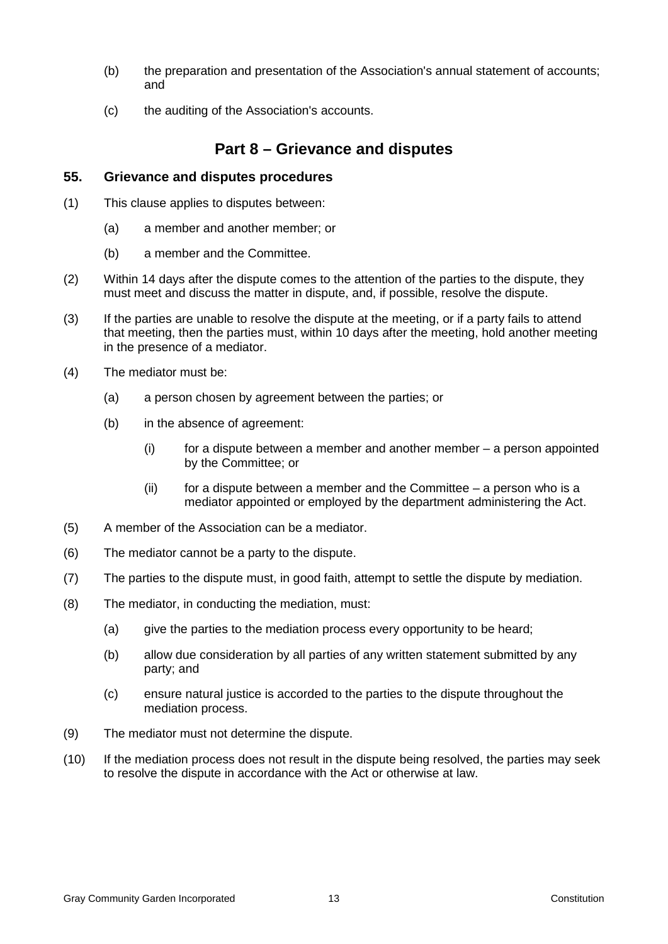- (b) the preparation and presentation of the Association's annual statement of accounts; and
- (c) the auditing of the Association's accounts.

## **Part 8 – Grievance and disputes**

#### **55. Grievance and disputes procedures**

- (1) This clause applies to disputes between:
	- (a) a member and another member; or
	- (b) a member and the Committee.
- (2) Within 14 days after the dispute comes to the attention of the parties to the dispute, they must meet and discuss the matter in dispute, and, if possible, resolve the dispute.
- (3) If the parties are unable to resolve the dispute at the meeting, or if a party fails to attend that meeting, then the parties must, within 10 days after the meeting, hold another meeting in the presence of a mediator.
- (4) The mediator must be:
	- (a) a person chosen by agreement between the parties; or
	- (b) in the absence of agreement:
		- $(i)$  for a dispute between a member and another member  $-$  a person appointed by the Committee; or
		- $(iii)$  for a dispute between a member and the Committee  $-$  a person who is a mediator appointed or employed by the department administering the Act.
- (5) A member of the Association can be a mediator.
- (6) The mediator cannot be a party to the dispute.
- (7) The parties to the dispute must, in good faith, attempt to settle the dispute by mediation.
- (8) The mediator, in conducting the mediation, must:
	- (a) give the parties to the mediation process every opportunity to be heard;
	- (b) allow due consideration by all parties of any written statement submitted by any party; and
	- (c) ensure natural justice is accorded to the parties to the dispute throughout the mediation process.
- (9) The mediator must not determine the dispute.
- (10) If the mediation process does not result in the dispute being resolved, the parties may seek to resolve the dispute in accordance with the Act or otherwise at law.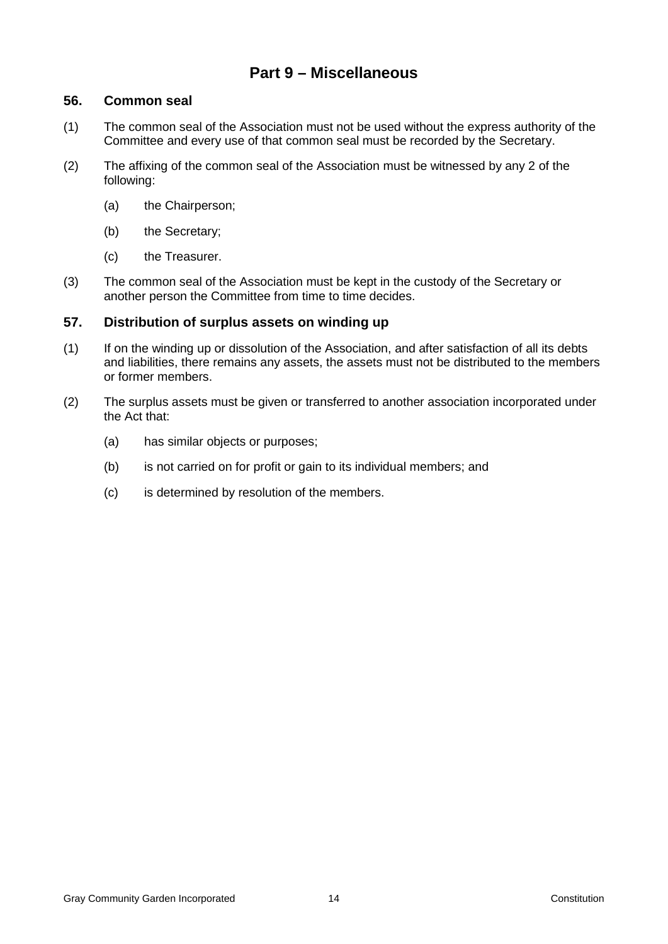## **Part 9 – Miscellaneous**

### **56. Common seal**

- (1) The common seal of the Association must not be used without the express authority of the Committee and every use of that common seal must be recorded by the Secretary.
- (2) The affixing of the common seal of the Association must be witnessed by any 2 of the following:
	- (a) the Chairperson;
	- (b) the Secretary;
	- (c) the Treasurer.
- (3) The common seal of the Association must be kept in the custody of the Secretary or another person the Committee from time to time decides.

## **57. Distribution of surplus assets on winding up**

- (1) If on the winding up or dissolution of the Association, and after satisfaction of all its debts and liabilities, there remains any assets, the assets must not be distributed to the members or former members.
- (2) The surplus assets must be given or transferred to another association incorporated under the Act that:
	- (a) has similar objects or purposes;
	- (b) is not carried on for profit or gain to its individual members; and
	- (c) is determined by resolution of the members.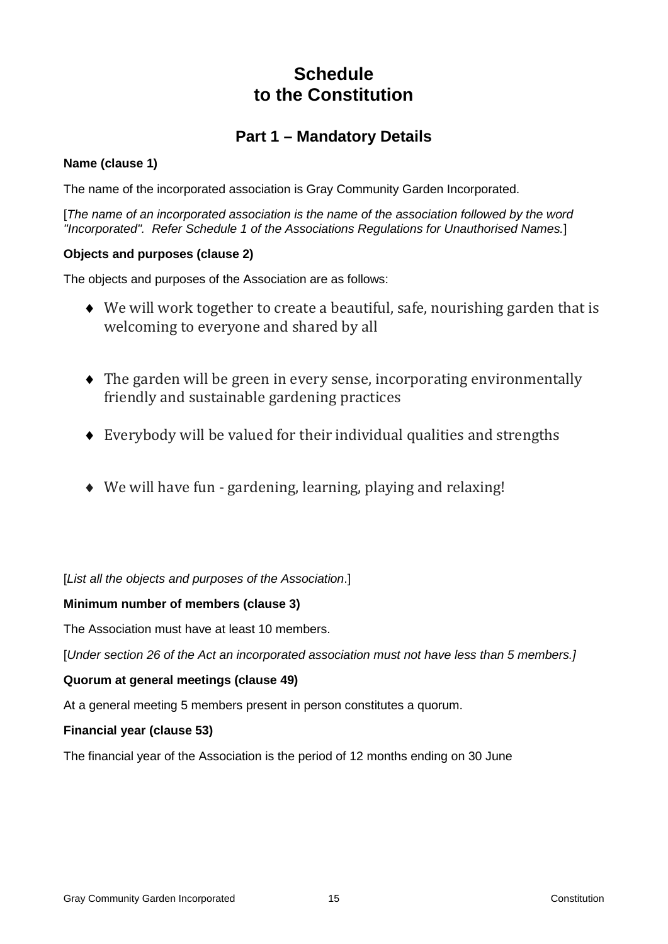# **Schedule to the Constitution**

# **Part 1 – Mandatory Details**

## **Name (clause 1)**

The name of the incorporated association is Gray Community Garden Incorporated.

[*The name of an incorporated association is the name of the association followed by the word "Incorporated". Refer Schedule 1 of the Associations Regulations for Unauthorised Names.*]

## **Objects and purposes (clause 2)**

The objects and purposes of the Association are as follows:

- ♦ We will work together to create a beautiful, safe, nourishing garden that is welcoming to everyone and shared by all
- ♦ The garden will be green in every sense, incorporating environmentally friendly and sustainable gardening practices
- ♦ Everybody will be valued for their individual qualities and strengths
- ♦ We will have fun gardening, learning, playing and relaxing!

[*List all the objects and purposes of the Association*.]

## **Minimum number of members (clause 3)**

The Association must have at least 10 members.

[*Under section 26 of the Act an incorporated association must not have less than 5 members.]*

## **Quorum at general meetings (clause 49)**

At a general meeting 5 members present in person constitutes a quorum.

## **Financial year (clause 53)**

The financial year of the Association is the period of 12 months ending on 30 June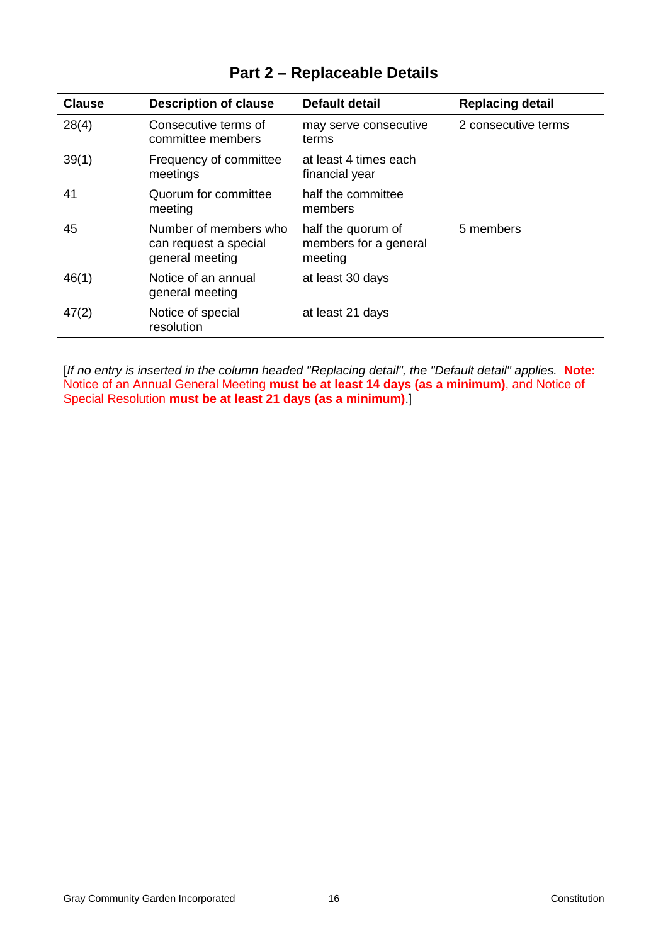| <b>Clause</b> | <b>Description of clause</b>                                      | <b>Default detail</b>                                  | <b>Replacing detail</b> |
|---------------|-------------------------------------------------------------------|--------------------------------------------------------|-------------------------|
| 28(4)         | Consecutive terms of<br>committee members                         | may serve consecutive<br>terms                         | 2 consecutive terms     |
| 39(1)         | Frequency of committee<br>meetings                                | at least 4 times each<br>financial year                |                         |
| 41            | Quorum for committee<br>meeting                                   | half the committee<br>members                          |                         |
| 45            | Number of members who<br>can request a special<br>general meeting | half the quorum of<br>members for a general<br>meeting | 5 members               |
| 46(1)         | Notice of an annual<br>general meeting                            | at least 30 days                                       |                         |
| 47(2)         | Notice of special<br>resolution                                   | at least 21 days                                       |                         |

# **Part 2 – Replaceable Details**

[*If no entry is inserted in the column headed "Replacing detail", the "Default detail" applies.* **Note:**  Notice of an Annual General Meeting **must be at least 14 days (as a minimum)**, and Notice of Special Resolution **must be at least 21 days (as a minimum)**.]